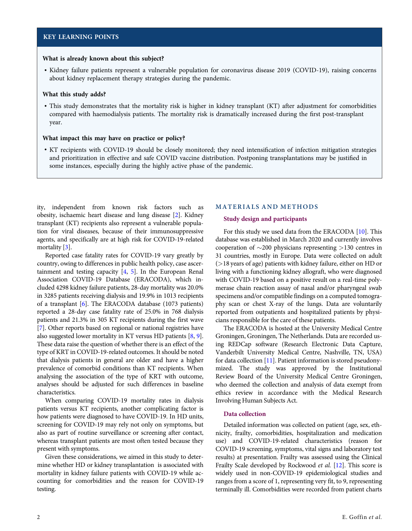### <span id="page-1-0"></span>What is already known about this subject?

• Kidney failure patients represent a vulnerable population for coronavirus disease 2019 (COVID-19), raising concerns about kidney replacement therapy strategies during the pandemic.

## What this study adds?

• This study demonstrates that the mortality risk is higher in kidney transplant (KT) after adjustment for comorbidities compared with haemodialysis patients. The mortality risk is dramatically increased during the first post-transplant year.

### What impact this may have on practice or policy?

• KT recipients with COVID-19 should be closely monitored; they need intensification of infection mitigation strategies and prioritization in effective and safe COVID vaccine distribution. Postponing transplantations may be justified in some instances, especially during the highly active phase of the pandemic.

ity, independent from known risk factors such as obesity, ischaemic heart disease and lung disease [\[2\]](#page-11-0). Kidney transplant (KT) recipients also represent a vulnerable population for viral diseases, because of their immunosuppressive agents, and specifically are at high risk for COVID-19-related mortality [[3](#page-11-0)].

Reported case fatality rates for COVID-19 vary greatly by country, owing to differences in public health policy, case ascertainment and testing capacity [\[4,](#page-11-0) [5](#page-11-0)]. In the European Renal Association COVID-19 Database (ERACODA), which included 4298 kidney failure patients, 28-day mortality was 20.0% in 3285 patients receiving dialysis and 19.9% in 1013 recipients of a transplant [[6](#page-11-0)]. The ERACODA database (1073 patients) reported a 28-day case fatality rate of 25.0% in 768 dialysis patients and 21.3% in 305 KT recipients during the first wave [\[7](#page-11-0)]. Other reports based on regional or national registries have also suggested lower mortality in KT versus HD patients [[8,](#page-11-0) [9\]](#page-11-0). These data raise the question of whether there is an effect of the type of KRT in COVID-19-related outcomes. It should be noted that dialysis patients in general are older and have a higher prevalence of comorbid conditions than KT recipients. When analysing the association of the type of KRT with outcome, analyses should be adjusted for such differences in baseline characteristics.

When comparing COVID-19 mortality rates in dialysis patients versus KT recipients, another complicating factor is how patients were diagnosed to have COVID-19. In HD units, screening for COVID-19 may rely not only on symptoms, but also as part of routine surveillance or screening after contact, whereas transplant patients are most often tested because they present with symptoms.

Given these considerations, we aimed in this study to determine whether HD or kidney transplantation is associated with mortality in kidney failure patients with COVID-19 while accounting for comorbidities and the reason for COVID-19 testing.

### MATERIALS AND METHODS

#### Study design and participants

For this study we used data from the ERACODA [[10](#page-11-0)]. This database was established in March 2020 and currently involves cooperation of  $\sim$ 200 physicians representing >130 centres in 31 countries, mostly in Europe. Data were collected on adult (>18 years of age) patients with kidney failure, either on HD or living with a functioning kidney allograft, who were diagnosed with COVID-19 based on a positive result on a real-time polymerase chain reaction assay of nasal and/or pharyngeal swab specimens and/or compatible findings on a computed tomography scan or chest X-ray of the lungs. Data are voluntarily reported from outpatients and hospitalized patients by physicians responsible for the care of these patients.

The ERACODA is hosted at the University Medical Centre Groningen, Groningen, The Netherlands. Data are recorded using REDCap software (Research Electronic Data Capture, Vanderbilt University Medical Centre, Nashville, TN, USA) for data collection [[11](#page-11-0)]. Patient information is stored pseudonymized. The study was approved by the Institutional Review Board of the University Medical Centre Groningen, who deemed the collection and analysis of data exempt from ethics review in accordance with the Medical Research Involving Human Subjects Act.

### Data collection

Detailed information was collected on patient (age, sex, ethnicity, frailty, comorbidities, hospitalization and medication use) and COVID-19-related characteristics (reason for COVID-19 screening, symptoms, vital signs and laboratory test results) at presentation. Frailty was assessed using the Clinical Frailty Scale developed by Rockwood et al. [\[12\]](#page-11-0). This score is widely used in non-COVID-19 epidemiological studies and ranges from a score of 1, representing very fit, to 9, representing terminally ill. Comorbidities were recorded from patient charts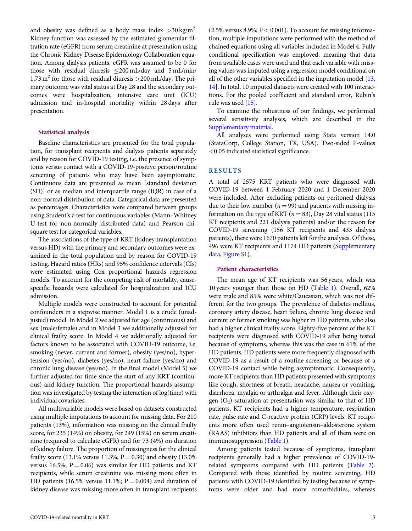<span id="page-2-0"></span>and obesity was defined as a body mass index  $>$ 30 kg/m<sup>2</sup>. Kidney function was assessed by the estimated glomerular filtration rate (eGFR) from serum creatinine at presentation using the Chronic Kidney Disease Epidemiology Collaboration equation. Among dialysis patients, eGFR was assumed to be 0 for those with residual diuresis  $\leq$ 200 mL/day and 5 mL/min/ 1.73 m<sup>2</sup> for those with residual diuresis  $>$  200 mL/day. The primary outcome was vital status at Day 28 and the secondary outcomes were hospitalization, intensive care unit (ICU) admission and in-hospital mortality within 28 days after presentation.

### Statistical analysis

Baseline characteristics are presented for the total population, for transplant recipients and dialysis patients separately and by reason for COVID-19 testing, i.e. the presence of symptoms versus contact with a COVID-19-positive person/routine screening of patients who may have been asymptomatic. Continuous data are presented as mean [standard deviation (SD)] or as median and interquartile range (IQR) in case of a non-normal distribution of data. Categorical data are presented as percentages. Characteristics were compared between groups using Student's t-test for continuous variables (Mann–Whitney U-test for non-normally distributed data) and Pearson chisquare test for categorical variables.

The associations of the type of KRT (kidney transplantation versus HD) with the primary and secondary outcomes were examined in the total population and by reason for COVID-19 testing. Hazard ratios (HRs) and 95% confidence intervals (CIs) were estimated using Cox proportional hazards regression models. To account for the competing risk of mortality, causespecific hazards were calculated for hospitalization and ICU admission.

Multiple models were constructed to account for potential confounders in a stepwise manner. Model 1 is a crude (unadjusted) model. In Model 2 we adjusted for age (continuous) and sex (male/female) and in Model 3 we additionally adjusted for clinical frailty score. In Model 4 we additionally adjusted for factors known to be associated with COVID-19 outcome, i.e. smoking (never, current and former), obesity (yes/no), hypertension (yes/no), diabetes (yes/no), heart failure (yes/no) and chronic lung disease (yes/no). In the final model (Model 5) we further adjusted for time since the start of any KRT (continuous) and kidney function. The proportional hazards assumption was investigated by testing the interaction of log(time) with individual covariates.

All multivariable models were based on datasets constructed using multiple imputations to account for missing data. For 210 patients (13%), information was missing on the clinical frailty score, for 235 (14%) on obesity, for 249 (15%) on serum creatinine (required to calculate eGFR) and for 73 (4%) on duration of kidney failure. The proportion of missingness for the clinical frailty score (13.1% versus 11.3%;  $P = 0.30$ ) and obesity (13.0%) versus 16.5%;  $P = 0.06$ ) was similar for HD patients and KT recipients, while serum creatinine was missing more often in HD patients (16.5% versus 11.1%;  $P = 0.004$ ) and duration of kidney disease was missing more often in transplant recipients (2.5% versus 8.9%;  $P < 0.001$ ). To account for missing information, multiple imputations were performed with the method of chained equations using all variables included in Model 4. Fully conditional specification was employed, meaning that data from available cases were used and that each variable with missing values was imputed using a regression model conditional on all of the other variables specified in the imputation model [\[13,](#page-11-0) [14\]](#page-11-0). In total, 10 imputed datasets were created with 100 interactions. For the pooled coefficient and standard error, Rubin's rule was used [[15](#page-11-0)].

To examine the robustness of our findings, we performed several sensitivity analyses, which are described in the [Supplementary material](https://academic.oup.com/ndt/article-lookup/doi/10.1093/ndt/gfab200#supplementary-data).

All analyses were performed using Stata version 14.0 (StataCorp, College Station, TX, USA). Two-sided P-values <0.05 indicated statistical significance.

### RESULTS

A total of 2575 KRT patients who were diagnosed with COVID-19 between 1 February 2020 and 1 December 2020 were included. After excluding patients on peritoneal dialysis due to their low number ( $n = 99$ ) and patients with missing information on the type of KRT ( $n = 83$ ), Day 28 vital status (115) KT recipients and 221 dialysis patients) and/or the reason for COVID-19 screening (156 KT recipients and 433 dialysis patients), there were 1670 patients left for the analyses. Of these, 496 were KT recipients and 1174 HD patients ([Supplementary](https://academic.oup.com/ndt/article-lookup/doi/10.1093/ndt/gfab200#supplementary-data) [data](https://academic.oup.com/ndt/article-lookup/doi/10.1093/ndt/gfab200#supplementary-data), [Figure S1\)](https://academic.oup.com/ndt/article-lookup/doi/10.1093/ndt/gfab200#supplementary-data).

### Patient characteristics

The mean age of KT recipients was 56 years, which was 10 years younger than those on HD ([Table 1\)](#page-3-0). Overall, 62% were male and 85% were white/Caucasian, which was not different for the two groups. The prevalence of diabetes mellitus, coronary artery disease, heart failure, chronic lung disease and current or former smoking was higher in HD patients, who also had a higher clinical frailty score. Eighty-five percent of the KT recipients were diagnosed with COVID-19 after being tested because of symptoms, whereas this was the case in 61% of the HD patients. HD patients were more frequently diagnosed with COVID-19 as a result of a routine screening or because of a COVID-19 contact while being asymptomatic. Consequently, more KT recipients than HD patients presented with symptoms like cough, shortness of breath, headache, nausea or vomiting, diarrhoea, myalgia or arthralgia and fever. Although their oxygen  $(O<sub>2</sub>)$  saturation at presentation was similar to that of HD patients, KT recipients had a higher temperature, respiration rate, pulse rate and C-reactive protein (CRP) levels. KT recipients more often used renin–angiotensin–aldosterone system (RAAS) inhibitors than HD patients and all of them were on immunosuppression ([Table 1](#page-3-0)).

Among patients tested because of symptoms, transplant recipients generally had a higher prevalence of COVID-19 related symptoms compared with HD patients ([Table 2](#page-5-0)). Compared with those identified by routine screening, HD patients with COVID-19 identified by testing because of symptoms were older and had more comorbidities, whereas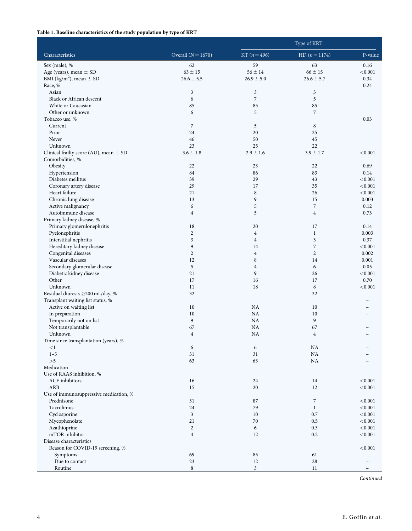## <span id="page-3-0"></span>Table 1. Baseline characteristics of the study population by type of KRT

|                                            |                      | Type of KRT              |                     |                    |  |
|--------------------------------------------|----------------------|--------------------------|---------------------|--------------------|--|
| Characteristics                            | Overall $(N = 1670)$ | $KT (n=496)$             | $HD (n=1174)$       | P-value            |  |
| Sex (male), %                              | 62                   | 59                       | 63                  | 0.16               |  |
| Age (years), mean $\pm$ SD                 | $63 \pm 15$          | $56 \pm 14$              | $66 \pm 15$         | < 0.001            |  |
| BMI (kg/m <sup>2</sup> ), mean $\pm$ SD    | $26.6 \pm 5.5$       | $26.9 \pm 5.0$           | $26.6 \pm 5.7$      | 0.34               |  |
| Race, %                                    |                      |                          |                     | 0.24               |  |
| Asian                                      | 3                    | $\sqrt{3}$               | 3                   |                    |  |
| Black or African descent                   | 6                    | $\overline{7}$           | 5                   |                    |  |
| White or Caucasian                         | 85                   | 85                       | 85                  |                    |  |
| Other or unknown                           | 6                    | 5                        | $\overline{7}$      |                    |  |
| Tobacco use, %<br>Current                  | $\overline{7}$       | 5                        | $\,$ 8 $\,$         | 0.03               |  |
| Prior                                      | 24                   | 20                       | 25                  |                    |  |
| Never                                      | 46                   | 50                       | 45                  |                    |  |
| Unknown                                    | 23                   | 25                       | 22                  |                    |  |
| Clinical frailty score (AU), mean $\pm$ SD | $3.6 \pm 1.8$        | $2.9 \pm 1.6$            | $3.9 \pm 1.7$       | < 0.001            |  |
| Comorbidities, %                           |                      |                          |                     |                    |  |
| Obesity                                    | 22                   | 23                       | 22                  | 0.69               |  |
| Hypertension                               | 84                   | 86                       | 83                  | 0.14               |  |
| Diabetes mellitus                          | 39                   | 29                       | 43                  | < 0.001            |  |
| Coronary artery disease                    | 29                   | 17                       | 35                  | < 0.001            |  |
| Heart failure                              | 21                   | $\,$ 8 $\,$              | 26                  | < 0.001            |  |
| Chronic lung disease                       | 13                   | 9                        | 15                  | 0.003              |  |
| Active malignancy                          | 6                    | $\sqrt{5}$               | $\boldsymbol{7}$    | 0.12               |  |
| Autoimmune disease                         | $\overline{4}$       | 5                        | $\overline{4}$      | 0.73               |  |
| Primary kidney disease, %                  |                      |                          |                     |                    |  |
| Primary glomerulonephritis                 | 18                   | 20                       | 17                  | 0.14               |  |
| Pyelonephritis                             | $\overline{c}$       | $\overline{4}$           | $\mathbf{1}$        | 0.003              |  |
| Interstitial nephritis                     | 3                    | $\overline{4}$           | $\mathfrak{Z}$      | 0.37               |  |
| Hereditary kidney disease                  | 9                    | 14                       | $\boldsymbol{7}$    | < 0.001            |  |
| Congenital diseases                        | $\overline{c}$       | $\overline{4}$           | $\mathbf{2}$        | 0.002              |  |
| Vascular diseases                          | 12                   | 8                        | 14                  | 0.001              |  |
| Secondary glomerular disease               | 5<br>21              | $\overline{4}$<br>9      | 6                   | 0.05<br>< 0.001    |  |
| Diabetic kidney disease<br>Other           | 17                   | 16                       | 26<br>17            | 0.70               |  |
| Unknown                                    | 11                   | 18                       | $\,$ 8 $\,$         | < 0.001            |  |
| Residual diuresis ≥200 mL/day, %           | 32                   | $\overline{\phantom{a}}$ | 32                  |                    |  |
| Transplant waiting list status, %          |                      |                          |                     |                    |  |
| Active on waiting list                     | 10                   | NA                       | 10                  |                    |  |
| In preparation                             | 10                   | NA                       | 10                  |                    |  |
| Temporarily not on list                    | 9                    | NA                       | 9                   |                    |  |
| Not transplantable                         | 67                   | NA                       | 67                  |                    |  |
| Unknown                                    | $\overline{4}$       | NA                       | $\overline{4}$      |                    |  |
| Time since transplantation (years), %      |                      |                          |                     |                    |  |
| $\leq$ 1                                   | 6                    | 6                        | NA                  |                    |  |
| $1 - 5$                                    | 31                   | 31                       | NA                  |                    |  |
| >5                                         | 63                   | 63                       | NA                  |                    |  |
| Medication                                 |                      |                          |                     |                    |  |
| Use of RAAS inhibition, %                  |                      |                          |                     |                    |  |
| ACE inhibitors                             | 16                   | 24                       | 14                  | < 0.001            |  |
| ARB                                        | 15                   | 20                       | 12                  | < 0.001            |  |
| Use of immunosuppressive medication, %     |                      |                          |                     |                    |  |
| Prednisone                                 | 31                   | 87                       | 7                   | < 0.001            |  |
| Tacrolimus                                 | 24<br>$\mathfrak{Z}$ | 79<br>10                 | $\mathbf{1}$<br>0.7 | < 0.001<br>< 0.001 |  |
| Cyclosporine                               | 21                   | 70                       | 0.5                 |                    |  |
| Mycophenolate<br>Azathioprine              | $\overline{c}$       | 6                        | 0.3                 | < 0.001<br>< 0.001 |  |
| mTOR inhibitor                             | $\overline{4}$       | 12                       | 0.2                 | < 0.001            |  |
| Disease characteristics                    |                      |                          |                     |                    |  |
| Reason for COVID-19 screening, %           |                      |                          |                     | < 0.001            |  |
| Symptoms                                   | 69                   | 85                       | 61                  |                    |  |
| Due to contact                             | 23                   | 12                       | 28                  |                    |  |
| Routine                                    | 8                    | 3                        | 11                  |                    |  |

Continued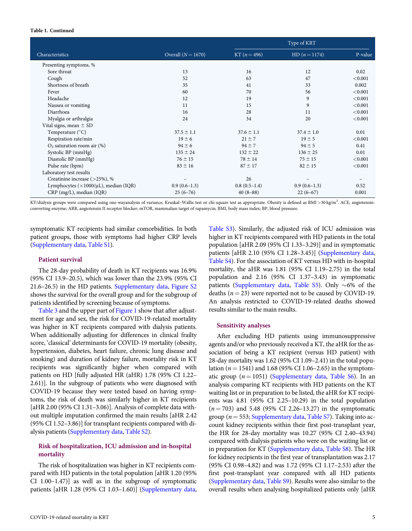#### Table 1. Continued

|                                                     |                      | Type of KRT    |                 |         |  |
|-----------------------------------------------------|----------------------|----------------|-----------------|---------|--|
| Characteristics                                     | Overall $(N = 1670)$ | KT $(n=496)$   | $HD (n = 1174)$ | P-value |  |
| Presenting symptoms, %                              |                      |                |                 |         |  |
| Sore throat                                         | 13                   | 16             | 12              | 0.02    |  |
| Cough                                               | 52                   | 63             | 47              | < 0.001 |  |
| Shortness of breath                                 | 35                   | 41             | 33              | 0.002   |  |
| Fever                                               | 60                   | 70             | 56              | < 0.001 |  |
| Headache                                            | 12                   | 19             | 9               | < 0.001 |  |
| Nausea or vomiting                                  | 11                   | 15             | 9               | < 0.001 |  |
| Diarrhoea                                           | 16                   | 28             | 11              | < 0.001 |  |
| Myalgia or arthralgia                               | 24                   | 34             | 20              | < 0.001 |  |
| Vital signs, mean $\pm$ SD                          |                      |                |                 |         |  |
| Temperature $(^{\circ}C)$                           | $37.5 \pm 1.1$       | $37.6 \pm 1.1$ | $37.4 \pm 1.0$  | 0.01    |  |
| Respiration rate/min                                | $19 \pm 6$           | $21 \pm 7$     | $19 \pm 5$      | < 0.001 |  |
| $O2$ saturation room air $(\%)$                     | $94 \pm 6$           | $94 \pm 7$     | $94 \pm 5$      | 0.41    |  |
| Systolic BP (mmHg)                                  | $135 \pm 24$         | $132 \pm 22$   | $136 \pm 25$    | 0.01    |  |
| Diastolic BP (mmHg)                                 | $76 \pm 15$          | $78 \pm 14$    | $75 \pm 15$     | < 0.001 |  |
| Pulse rate (bpm)                                    | $83 \pm 16$          | $87 \pm 17$    | $82 \pm 15$     | < 0.001 |  |
| Laboratory test results                             |                      |                |                 |         |  |
| Creatinine increase $($ >25%), %                    |                      | 26             |                 |         |  |
| Lymphocytes ( $\times$ 1000/ $\mu$ L), median (IQR) | $0.9(0.6-1.3)$       | $0.8(0.5-1.4)$ | $0.9(0.6-1.3)$  | 0.52    |  |
| CRP (mg/L), median (IQR)                            | $25(6-76)$           | $40(8-88)$     | $22(6-67)$      | 0.001   |  |

KT/dialysis groups were compared using one-wayanalysis of variance, Kruskal-Wallis test or chi-square test as appropriate. Obesity is defined as BMI >30 kg/m<sup>2</sup>. ACE, angiotensinconverting enzyme; ARB, angiotensin II receptor blocker; mTOR, mammalian target of rapamycin; BMI, body mass index; BP, blood pressure.

symptomatic KT recipients had similar comorbidities. In both patient groups, those with symptoms had higher CRP levels [\(Supplementary data](https://academic.oup.com/ndt/article-lookup/doi/10.1093/ndt/gfab200#supplementary-data), [Table S1\)](https://academic.oup.com/ndt/article-lookup/doi/10.1093/ndt/gfab200#supplementary-data).

### Patient survival

The 28-day probability of death in KT recipients was 16.9% (95% CI 13.9–20.5), which was lower than the 23.9% (95% CI 21.6–26.5) in the HD patients. [Supplementary data](https://academic.oup.com/ndt/article-lookup/doi/10.1093/ndt/gfab200#supplementary-data), [Figure S2](https://academic.oup.com/ndt/article-lookup/doi/10.1093/ndt/gfab200#supplementary-data) shows the survival for the overall group and for the subgroup of patients identified by screening because of symptoms.

[Table 3](#page-7-0) and the upper part of [Figure 1](#page-7-0) show that after adjustment for age and sex, the risk for COVID-19-related mortality was higher in KT recipients compared with dialysis patients. When additionally adjusting for differences in clinical frailty score, 'classical' determinants for COVID-19 mortality (obesity, hypertension, diabetes, heart failure, chronic lung disease and smoking) and duration of kidney failure, mortality risk in KT recipients was significantly higher when compared with patients on HD [fully adjusted HR (aHR) 1.78 (95% CI 1.22– 2.61)]. In the subgroup of patients who were diagnosed with COVID-19 because they were tested based on having symptoms, the risk of death was similarly higher in KT recipients [aHR 2.00 (95% CI 1.31–3.06)]. Analysis of complete data without multiple imputation confirmed the main results [aHR 2.42 (95% CI 1.52–3.86)] for transplant recipients compared with dialysis patients [\(Supplementary data](https://academic.oup.com/ndt/article-lookup/doi/10.1093/ndt/gfab200#supplementary-data), [Table S2\)](https://academic.oup.com/ndt/article-lookup/doi/10.1093/ndt/gfab200#supplementary-data).

# Risk of hospitalization, ICU admission and in-hospital mortality

The risk of hospitalization was higher in KT recipients compared with HD patients in the total population [aHR 1.20 (95% CI 1.00–1.47)] as well as in the subgroup of symptomatic patients [aHR 1.28 (95% CI 1.03–1.60)] [\(Supplementary data](https://academic.oup.com/ndt/article-lookup/doi/10.1093/ndt/gfab200#supplementary-data), [Table S3](https://academic.oup.com/ndt/article-lookup/doi/10.1093/ndt/gfab200#supplementary-data)). Similarly, the adjusted risk of ICU admission was higher in KT recipients compared with HD patients in the total population [aHR 2.09 (95% CI 1.33–3.29)] and in symptomatic patients [aHR 2.10 (95% CI 1.28–3.45)] [\(Supplementary data,](https://academic.oup.com/ndt/article-lookup/doi/10.1093/ndt/gfab200#supplementary-data) [Table S4\)](https://academic.oup.com/ndt/article-lookup/doi/10.1093/ndt/gfab200#supplementary-data). For the association of KT versus HD with in-hospital mortality, the aHR was 1.81 (95% CI 1.19–2.75) in the total population and 2.16 (95% CI 1.37–3.43) in symptomatic patients ([Supplementary data](https://academic.oup.com/ndt/article-lookup/doi/10.1093/ndt/gfab200#supplementary-data), [Table S5](https://academic.oup.com/ndt/article-lookup/doi/10.1093/ndt/gfab200#supplementary-data)). Only  ${\sim}6\%$  of the deaths ( $n = 23$ ) were reported not to be caused by COVID-19. An analysis restricted to COVID-19-related deaths showed results similar to the main results.

### Sensitivity analyses

After excluding HD patients using immunosuppressive agents and/or who previously received a KT, the aHR for the association of being a KT recipient (versus HD patient) with 28-day mortality was 1.62 (95% CI 1.09–2.41) in the total population ( $n = 1541$ ) and 1.68 (95% CI 1.06–2.65) in the symptomatic group  $(n = 1051)$  ([Supplementary data,](https://academic.oup.com/ndt/article-lookup/doi/10.1093/ndt/gfab200#supplementary-data) [Table S6](https://academic.oup.com/ndt/article-lookup/doi/10.1093/ndt/gfab200#supplementary-data)). In an analysis comparing KT recipients with HD patients on the KT waiting list or in preparation to be listed, the aHR for KT recipients was 4.81 (95% CI 2.25–10.29) in the total population  $(n = 703)$  and 5.48 (95% CI 2.26–13.27) in the symptomatic group ( $n = 553$ ; [Supplementary data,](https://academic.oup.com/ndt/article-lookup/doi/10.1093/ndt/gfab200#supplementary-data) [Table S7](https://academic.oup.com/ndt/article-lookup/doi/10.1093/ndt/gfab200#supplementary-data)). Taking into account kidney recipients within their first post-transplant year, the HR for 28-day mortality was 10.27 (95% CI 2.40–43.94) compared with dialysis patients who were on the waiting list or in preparation for KT ([Supplementary data](https://academic.oup.com/ndt/article-lookup/doi/10.1093/ndt/gfab200#supplementary-data), [Table S8](https://academic.oup.com/ndt/article-lookup/doi/10.1093/ndt/gfab200#supplementary-data)). The HR for kidney recipients in the first year of transplantation was 2.17 (95% CI 0.98–4.82) and was 1.72 (95% CI 1.17–2.53) after the first post-transplant year compared with all HD patients ([Supplementary data](https://academic.oup.com/ndt/article-lookup/doi/10.1093/ndt/gfab200#supplementary-data), [Table S9](https://academic.oup.com/ndt/article-lookup/doi/10.1093/ndt/gfab200#supplementary-data)). Results were also similar to the overall results when analysing hospitalized patients only [aHR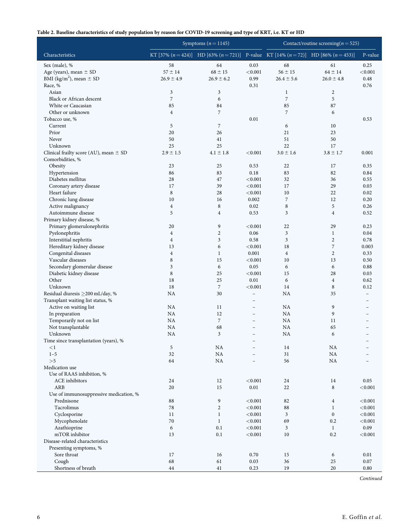# <span id="page-5-0"></span>Table 2. Baseline characteristics of study population by reason for COVID-19 screening and type of KRT, i.e. KT or HD

|                                                     |                      | Symptoms $(n = 1145)$                                                                  | Contact/routine screening( $n = 525$ )     |                |                                |                |
|-----------------------------------------------------|----------------------|----------------------------------------------------------------------------------------|--------------------------------------------|----------------|--------------------------------|----------------|
| Characteristics                                     |                      | KT [37% $(n=424)$ ] HD [63% $(n=721)$ ] P-value KT [14% $(n=72)$ ] HD [86% $(n=453)$ ] |                                            |                |                                | P-value        |
| Sex (male), %                                       | 58                   | 64                                                                                     | 0.03                                       | 68             | 61                             | 0.25           |
| Age (years), mean $\pm$ SD                          | $57 \pm 14$          | $68 \pm 15$                                                                            | < 0.001                                    | $56 \pm 15$    | $64 \pm 14$                    | < 0.001        |
| BMI (kg/m <sup>2</sup> ), mean $\pm$ SD             | $26.9 \pm 4.9$       | $26.9 \pm 6.2$                                                                         | 0.99                                       | $26.4 \pm 5.6$ | $26.0 \pm 4.8$                 | 0.48           |
| Race, %                                             |                      |                                                                                        | 0.31                                       |                |                                | 0.76           |
| Asian                                               | 3                    | 3                                                                                      |                                            | $\mathbf{1}$   | $\overline{c}$                 |                |
| <b>Black or African descent</b>                     | 7                    | 6                                                                                      |                                            | $\overline{7}$ | 5                              |                |
| White or Caucasian                                  | 85                   | 84                                                                                     |                                            | 85             | 87                             |                |
| Other or unknown                                    | $\overline{4}$       | $\overline{7}$                                                                         |                                            | $\overline{7}$ | 6                              |                |
| Tobacco use, %<br>Current                           | 5                    | $\sqrt{2}$                                                                             | 0.01                                       | 6              | 10                             | 0.53           |
| Prior                                               | 20                   | 26                                                                                     |                                            | 21             | 23                             |                |
| Never                                               | 50                   | 41                                                                                     |                                            | 51             | 50                             |                |
| Unknown                                             | 25                   | 25                                                                                     |                                            | 22             | 17                             |                |
| Clinical frailty score (AU), mean $\pm$ SD          | $2.9 \pm 1.5$        | $4.1 \pm 1.8$                                                                          | < 0.001                                    | $3.0 \pm 1.6$  | $3.8 \pm 1.7$                  | 0.001          |
| Comorbidities, %                                    |                      |                                                                                        |                                            |                |                                |                |
| Obesity                                             | 23                   | 25                                                                                     | 0.53                                       | 22             | 17                             | 0.35           |
| Hypertension                                        | 86                   | 83                                                                                     | 0.18                                       | 83             | 82                             | 0.84           |
| Diabetes mellitus                                   | 28                   | 47                                                                                     | < 0.001                                    | 32             | 36                             | 0.55           |
| Coronary artery disease                             | 17                   | 39                                                                                     | < 0.001                                    | 17             | 29                             | 0.03           |
| Heart failure                                       | $\,$ 8 $\,$          | 28                                                                                     | < 0.001                                    | 10             | 22                             | 0.02           |
| Chronic lung disease                                | 10                   | 16                                                                                     | 0.002                                      | 7              | 12                             | 0.20           |
| Active malignancy                                   | $\overline{4}$       | 8                                                                                      | 0.02                                       | $\,$ 8 $\,$    | 5                              | 0.26           |
| Autoimmune disease                                  | 5                    | $\overline{4}$                                                                         | 0.53                                       | 3              | $\overline{4}$                 | 0.52           |
| Primary kidney disease, %                           |                      |                                                                                        |                                            |                |                                |                |
| Primary glomerulonephritis                          | 20                   | 9                                                                                      | < 0.001                                    | 22             | 29                             | 0.23           |
| Pyelonephritis                                      | $\overline{4}$       | $\mathbf{2}$<br>3                                                                      | 0.06<br>0.58                               | 3<br>3         | $\mathbf{1}$<br>$\overline{2}$ | 0.04<br>0.78   |
| Interstitial nephritis<br>Hereditary kidney disease | $\overline{4}$<br>13 | 6                                                                                      | < 0.001                                    | 18             | $\boldsymbol{7}$               | 0.003          |
| Congenital diseases                                 | $\overline{4}$       | $\mathbf{1}$                                                                           | 0.001                                      | $\overline{4}$ | $\overline{2}$                 | 0.33           |
| Vascular diseases                                   | 8                    | 15                                                                                     | < 0.001                                    | 10             | 13                             | 0.50           |
| Secondary glomerular disease                        | 3                    | 6                                                                                      | 0.05                                       | 6              | 6                              | 0.88           |
| Diabetic kidney disease                             | 8                    | 25                                                                                     | < 0.001                                    | 15             | 28                             | 0.03           |
| Other                                               | 18                   | 25                                                                                     | 0.01                                       | 6              | $\overline{4}$                 | 0.62           |
| Unknown                                             | 18                   | $\overline{7}$                                                                         | < 0.001                                    | 14             | 8                              | 0.12           |
| Residual diuresis ≥200 mL/day, %                    | <b>NA</b>            | 30                                                                                     | $\overline{\phantom{0}}$                   | NA             | 35                             |                |
| Transplant waiting list status, %                   |                      |                                                                                        | $\overline{\phantom{0}}$                   |                |                                |                |
| Active on waiting list                              | NA                   | 11                                                                                     | $\overline{\phantom{0}}$                   | NA             | 9                              |                |
| In preparation                                      | NA                   | 12                                                                                     | $\overline{\phantom{0}}$                   | NA             | 9                              |                |
| Temporarily not on list                             | <b>NA</b>            | $\overline{7}$                                                                         | $\overline{\phantom{0}}$                   | <b>NA</b>      | 11                             |                |
| Not transplantable                                  | NA                   | 68                                                                                     | $\overline{\phantom{0}}$                   | <b>NA</b>      | 65                             |                |
| Unknown                                             | NA                   | 3                                                                                      | $\overline{\phantom{0}}$                   | <b>NA</b>      | 6                              | $\overline{a}$ |
| Time since transplantation (years), %<br>$\leq$ 1   | 5                    | NA                                                                                     | $\overline{a}$<br>$\overline{\phantom{0}}$ | 14             | NA                             |                |
| $1 - 5$                                             | 32                   | NA                                                                                     |                                            | 31             | NA                             |                |
| >5                                                  | 64                   | NA                                                                                     | $\overline{\phantom{0}}$                   | 56             | NA                             |                |
| Medication use                                      |                      |                                                                                        |                                            |                |                                |                |
| Use of RAAS inhibition, %                           |                      |                                                                                        |                                            |                |                                |                |
| <b>ACE</b> inhibitors                               | 24                   | 12                                                                                     | < 0.001                                    | 24             | 14                             | 0.05           |
| ARB                                                 | 20                   | 15                                                                                     | 0.01                                       | 22             | 8                              | < 0.001        |
| Use of immunosuppressive medication, %              |                      |                                                                                        |                                            |                |                                |                |
| Prednisone                                          | 88                   | 9                                                                                      | < 0.001                                    | 82             | $\overline{4}$                 | < 0.001        |
| Tacrolimus                                          | 78                   | $\overline{c}$                                                                         | < 0.001                                    | 88             | $\mathbf{1}$                   | < 0.001        |
| Cyclosporine                                        | 11                   | $\mathbf{1}$                                                                           | < 0.001                                    | 3              | $\boldsymbol{0}$               | < 0.001        |
| Mycophenolate                                       | 70                   | $\mathbf{1}$                                                                           | < 0.001                                    | 69             | 0.2                            | < 0.001        |
| Azathioprine                                        | 6                    | 0.1                                                                                    | < 0.001                                    | 3              | $\mathbf{1}$                   | 0.09           |
| mTOR inhibitor                                      | 13                   | 0.1                                                                                    | < 0.001                                    | 10             | 0.2                            | < 0.001        |
| Disease-related characteristics                     |                      |                                                                                        |                                            |                |                                |                |
| Presenting symptoms, %<br>Sore throat               | 17                   | 16                                                                                     | 0.70                                       | 15             | 6                              | 0.01           |
| Cough                                               | 68                   | 61                                                                                     | 0.03                                       | 36             | 25                             | 0.07           |
| Shortness of breath                                 | $44\,$               | 41                                                                                     | 0.23                                       | 19             | 20                             | 0.80           |

Continued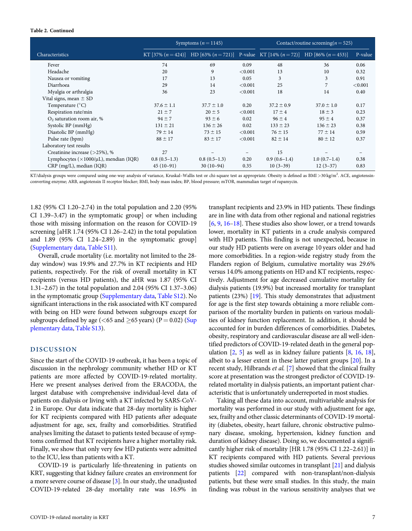#### <span id="page-6-0"></span>Table 2. Continued

|                                                      |                | Symptoms $(n = 1145)$                                                                  |            | Contact/routine screening( $n = 525$ ) |                |         |  |
|------------------------------------------------------|----------------|----------------------------------------------------------------------------------------|------------|----------------------------------------|----------------|---------|--|
| Characteristics                                      |                | KT [37% $(n=424)$ ] HD [63% $(n=721)$ ] P-value KT [14% $(n=72)$ ] HD [86% $(n=453)$ ] |            |                                        |                | P-value |  |
| Fever                                                | 74             | 69                                                                                     | 0.09       | 48                                     | 36             | 0.06    |  |
| Headache                                             | 20             | 9                                                                                      | ${<}0.001$ | 13                                     | 10             | 0.32    |  |
| Nausea or vomiting                                   | 17             | 13                                                                                     | 0.05       | 3                                      | 3              | 0.91    |  |
| Diarrhoea                                            | 29             | 14                                                                                     | < 0.001    | 25                                     | 7              | < 0.001 |  |
| Myalgia or arthralgia                                | 36             | 23                                                                                     | < 0.001    | 18                                     | 14             | 0.40    |  |
| Vital signs, mean $\pm$ SD                           |                |                                                                                        |            |                                        |                |         |  |
| Temperature $(^{\circ}C)$                            | $37.6 \pm 1.1$ | $37.7 \pm 1.0$                                                                         | 0.20       | $37.2 \pm 0.9$                         | $37.0 \pm 1.0$ | 0.17    |  |
| Respiration rate/min                                 | $21 \pm 7$     | $20 \pm 5$                                                                             | < 0.001    | $17 \pm 4$                             | $18 \pm 3$     | 0.23    |  |
| $O2$ saturation room air, %                          | $94 \pm 7$     | $93 \pm 6$                                                                             | 0.02       | $96 \pm 4$                             | $95 \pm 4$     | 0.37    |  |
| Systolic BP (mmHg)                                   | $131 \pm 21$   | $136 \pm 26$                                                                           | 0.02       | $133 \pm 23$                           | $136 \pm 23$   | 0.38    |  |
| Diastolic BP (mmHg)                                  | $79 \pm 14$    | $73 \pm 15$                                                                            | < 0.001    | $76 \pm 15$                            | $77 \pm 14$    | 0.59    |  |
| Pulse rate (bpm)                                     | $88 \pm 17$    | $83 \pm 17$                                                                            | < 0.001    | $82 \pm 14$                            | $80 \pm 12$    | 0.37    |  |
| Laboratory test results                              |                |                                                                                        |            |                                        |                |         |  |
| Creatinine increase $($ >25%), %                     | 27             |                                                                                        |            | 15                                     |                |         |  |
| Lymphocytes ( $\times$ 1000/ $\mu$ L), mendian (IQR) | $0.8(0.5-1.3)$ | $0.8(0.5-1.3)$                                                                         | 0.20       | $0.9(0.6-1.4)$                         | $1.0(0.7-1.4)$ | 0.38    |  |
| CRP (mg/L), median (IQR)                             | $45(10-91)$    | $30(10-94)$                                                                            | 0.35       | $10(3-39)$                             | $12(3-37)$     | 0.83    |  |

KT/dialysis groups were compared using one-way analysis of variance, Kruskal-Wallis test or chi-square test as appropriate. Obesity is defined as BMI >30 kg/m<sup>2</sup>. ACE, angiotensinconverting enzyme; ARB, angiotensin II receptor blocker; BMI, body mass index; BP, blood pressure; mTOR, mammalian target of rapamycin.

1.82 (95% CI 1.20–2.74) in the total population and 2.20 (95% CI 1.39–3.47) in the symptomatic group] or when including those with missing information on the reason for COVID-19 screening [aHR 1.74 (95% CI 1.26–2.42) in the total population and 1.89 (95% CI 1.24–2.89) in the symptomatic group] [\(Supplementary data](https://academic.oup.com/ndt/article-lookup/doi/10.1093/ndt/gfab200#supplementary-data), [Table S11\)](https://academic.oup.com/ndt/article-lookup/doi/10.1093/ndt/gfab200#supplementary-data).

Overall, crude mortality (i.e. mortality not limited to the 28 day window) was 19.9% and 27.7% in KT recipients and HD patients, respectively. For the risk of overall mortality in KT recipients (versus HD patients), the aHR was 1.87 (95% CI 1.31–2.67) in the total population and 2.04 (95% CI 1.37–3.06) in the symptomatic group ([Supplementary data](https://academic.oup.com/ndt/article-lookup/doi/10.1093/ndt/gfab200#supplementary-data), [Table S12](https://academic.oup.com/ndt/article-lookup/doi/10.1093/ndt/gfab200#supplementary-data)). No significant interactions in the risk associated with KT compared with being on HD were found between subgroups except for subgroups defined by age ( $\lt 65$  and  $\ge 65$  years) (P = 0.02) ([Sup](https://academic.oup.com/ndt/article-lookup/doi/10.1093/ndt/gfab200#supplementary-data) [plementary data](https://academic.oup.com/ndt/article-lookup/doi/10.1093/ndt/gfab200#supplementary-data), [Table S13](https://academic.oup.com/ndt/article-lookup/doi/10.1093/ndt/gfab200#supplementary-data)).

## **DISCUSSION**

Since the start of the COVID-19 outbreak, it has been a topic of discussion in the nephrology community whether HD or KT patients are more affected by COVID-19-related mortality. Here we present analyses derived from the ERACODA, the largest database with comprehensive individual-level data of patients on dialysis or living with a KT infected by SARS-CoV-2 in Europe. Our data indicate that 28-day mortality is higher for KT recipients compared with HD patients after adequate adjustment for age, sex, frailty and comorbidities. Stratified analyses limiting the dataset to patients tested because of symptoms confirmed that KT recipients have a higher mortality risk. Finally, we show that only very few HD patients were admitted to the ICU, less than patients with a KT.

COVID-19 is particularly life-threatening in patients on KRT, suggesting that kidney failure creates an environment for a more severe course of disease [\[3](#page-11-0)]. In our study, the unadjusted COVID-19-related 28-day mortality rate was 16.9% in [[6,](#page-11-0) [9,](#page-11-0) [16–18](#page-11-0)]. These studies also show lower, or a trend towards lower, mortality in KT patients in a crude analysis compared with HD patients. This finding is not unexpected, because in our study HD patients were on average 10 years older and had more comorbidities. In a region-wide registry study from the Flanders region of Belgium, cumulative mortality was 29.6% versus 14.0% among patients on HD and KT recipients, respectively. Adjustment for age decreased cumulative mortality for dialysis patients (19.9%) but increased mortality for transplant patients (23%) [\[19\]](#page-11-0). This study demonstrates that adjustment for age is the first step towards obtaining a more reliable comparison of the mortality burden in patients on various modalities of kidney function replacement. In addition, it should be accounted for in burden differences of comorbidities. Diabetes, obesity, respiratory and cardiovascular disease are all well-identified predictors of COVID-19-related death in the general population [\[2,](#page-11-0) [5](#page-11-0)] as well as in kidney failure patients [\[8](#page-11-0), [16](#page-11-0), [18](#page-11-0)], albeit to a lesser extent in these latter patient groups [\[20\]](#page-11-0). In a recent study, Hilbrands et al. [\[7\]](#page-11-0) showed that the clinical frailty score at presentation was the strongest predictor of COVID-19 related mortality in dialysis patients, an important patient characteristic that is unfortunately underreported in most studies.

transplant recipients and 23.9% in HD patients. These findings are in line with data from other regional and national registries

Taking all these data into account, multivariable analysis for mortality was performed in our study with adjustment for age, sex, frailty and other classic determinants of COVID-19 mortality (diabetes, obesity, heart failure, chronic obstructive pulmonary disease, smoking, hypertension, kidney function and duration of kidney disease). Doing so, we documented a significantly higher risk of mortality [HR 1.78 (95% CI 1.22–2.61)] in KT recipients compared with HD patients. Several previous studies showed similar outcomes in transplant [\[21](#page-11-0)] and dialysis patients [\[22\]](#page-11-0) compared with non-transplant/non-dialysis patients, but these were small studies. In this study, the main finding was robust in the various sensitivity analyses that we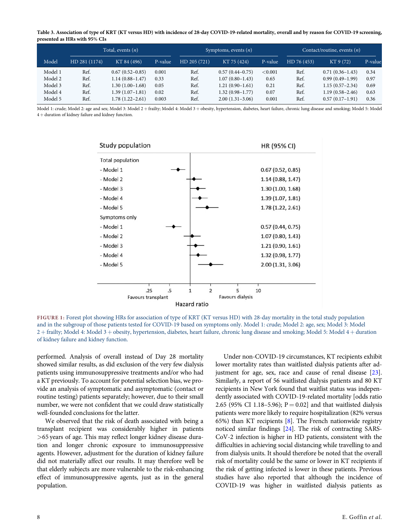<span id="page-7-0"></span>Table 3. Association of type of KRT (KT versus HD) with incidence of 28-day COVID-19-related mortality, overall and by reason for COVID-19 screening, presented as HRs with 95% CIs

| Total, events $(n)$ |               |                     | Symptoms, events $(n)$ |              |                     | Contact/routine, events $(n)$ |             |                     |         |
|---------------------|---------------|---------------------|------------------------|--------------|---------------------|-------------------------------|-------------|---------------------|---------|
| Model               | HD 281 (1174) | KT 84 (496)         | P-value                | HD 205 (721) | KT 75 (424)         | P-value                       | HD 76 (453) | KT 9 (72)           | P-value |
| Model 1             | Ref.          | $0.67(0.52 - 0.85)$ | 0.001                  | Ref.         | $0.57(0.44 - 0.75)$ | < 0.001                       | Ref.        | $0.71(0.36-1.43)$   | 0.34    |
| Model 2             | Ref.          | $1.14(0.88 - 1.47)$ | 0.33                   | Ref.         | $1.07(0.80 - 1.43)$ | 0.65                          | Ref.        | $0.99(0.49-1.99)$   | 0.97    |
| Model 3             | Ref.          | $1.30(1.00-1.68)$   | 0.05                   | Ref.         | $1.21(0.90-1.61)$   | 0.21                          | Ref.        | $1.15(0.57-2.34)$   | 0.69    |
| Model 4             | Ref.          | 1.39 (1.07–1.81)    | 0.02                   | Ref.         | $1.32(0.98 - 1.77)$ | 0.07                          | Ref.        | $1.19(0.58 - 2.46)$ | 0.63    |
| Model 5             | Ref.          | $1.78(1.22 - 2.61)$ | 0.003                  | Ref.         | $2.00(1.31-3.06)$   | 0.001                         | Ref.        | $0.57(0.17-1.91)$   | 0.36    |

Model 1: crude; Model 2: age and sex; Model 3: Model 2 + frailty; Model 4: Model 3 + obesity, hypertension, diabetes, heart failure, chronic lung disease and smoking; Model 5: Model  $4 +$  duration of kidney failure and kidney function.



FIGURE 1: Forest plot showing HRs for association of type of KRT (KT versus HD) with 28-day mortality in the total study population and in the subgroup of those patients tested for COVID-19 based on symptoms only. Model 1: crude; Model 2: age, sex; Model 3: Model 2 + frailty; Model 4: Model 3 + obesity, hypertension, diabetes, heart failure, chronic lung disease and smoking; Model 5: Model 4 + duration of kidney failure and kidney function.

performed. Analysis of overall instead of Day 28 mortality showed similar results, as did exclusion of the very few dialysis patients using immunosuppressive treatments and/or who had a KT previously. To account for potential selection bias, we provide an analysis of symptomatic and asymptomatic (contact or routine testing) patients separately; however, due to their small number, we were not confident that we could draw statistically well-founded conclusions for the latter.

We observed that the risk of death associated with being a transplant recipient was considerably higher in patients >65 years of age. This may reflect longer kidney disease duration and longer chronic exposure to immunosuppressive agents. However, adjustment for the duration of kidney failure did not materially affect our results. It may therefore well be that elderly subjects are more vulnerable to the risk-enhancing effect of immunosuppressive agents, just as in the general population.

Under non-COVID-19 circumstances, KT recipients exhibit lower mortality rates than waitlisted dialysis patients after adjustment for age, sex, race and cause of renal disease [\[23](#page-11-0)]. Similarly, a report of 56 waitlisted dialysis patients and 80 KT recipients in New York found that waitlist status was independently associated with COVID-19-related mortality [odds ratio 2.65 (95% CI 1.18–5.96);  $P = 0.02$  and that waitlisted dialysis patients were more likely to require hospitalization (82% versus 65%) than KT recipients [\[8\]](#page-11-0). The French nationwide registry noticed similar findings [\[24\]](#page-11-0). The risk of contracting SARS-CoV-2 infection is higher in HD patients, consistent with the difficulties in achieving social distancing while travelling to and from dialysis units. It should therefore be noted that the overall risk of mortality could be the same or lower in KT recipients if the risk of getting infected is lower in these patients. Previous studies have also reported that although the incidence of COVID-19 was higher in waitlisted dialysis patients as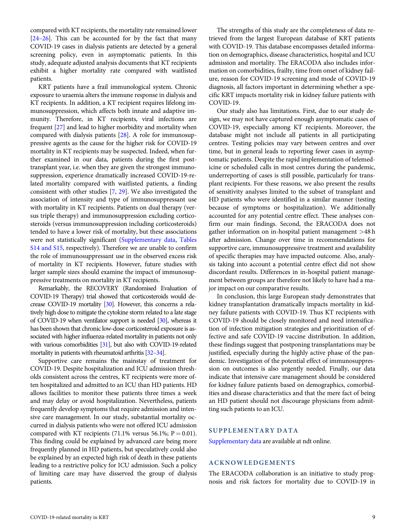<span id="page-8-0"></span>compared with KT recipients, the mortality rate remained lower [\[24–26](#page-11-0)]. This can be accounted for by the fact that many COVID-19 cases in dialysis patients are detected by a general screening policy, even in asymptomatic patients. In this study, adequate adjusted analysis documents that KT recipients exhibit a higher mortality rate compared with waitlisted patients.

KRT patients have a frail immunological system. Chronic exposure to uraemia alters the immune response in dialysis and KT recipients. In addition, a KT recipient requires lifelong immunosuppression, which affects both innate and adaptive immunity. Therefore, in KT recipients, viral infections are frequent [\[27](#page-11-0)] and lead to higher morbidity and mortality when compared with dialysis patients [[28](#page-11-0)]. A role for immunosuppressive agents as the cause for the higher risk for COVID-19 mortality in KT recipients may be suspected. Indeed, when further examined in our data, patients during the first posttransplant year, i.e. when they are given the strongest immunosuppression, experience dramatically increased COVID-19-related mortality compared with waitlisted patients, a finding consistent with other studies [\[7,](#page-11-0) [29\]](#page-11-0). We also investigated the association of intensity and type of immunosuppressant use with mortality in KT recipients. Patients on dual therapy (versus triple therapy) and immunosuppression excluding corticosteroids (versus immunosuppression including corticosteroids) tended to have a lower risk of mortality, but these associations were not statistically significant ([Supplementary data,](https://academic.oup.com/ndt/article-lookup/doi/10.1093/ndt/gfab200#supplementary-data) [Tables](https://academic.oup.com/ndt/article-lookup/doi/10.1093/ndt/gfab200#supplementary-data) [S14 and S15](https://academic.oup.com/ndt/article-lookup/doi/10.1093/ndt/gfab200#supplementary-data), respectively). Therefore we are unable to confirm the role of immunosuppressant use in the observed excess risk of mortality in KT recipients. However, future studies with larger sample sizes should examine the impact of immunosuppressive treatments on mortality in KT recipients.

Remarkably, the RECOVERY (Randomised Evaluation of COVID-19 Therapy) trial showed that corticosteroids would decrease COVID-19 mortality [\[30](#page-11-0)]. However, this concerns a relatively high dose to mitigate the cytokine storm related to a late stage of COVID-19 when ventilator support is needed [\[30\]](#page-11-0), whereas it has been shown that chronic low-dose corticosteroid exposure is associated with higher influenza-related mortality in patients not only with various comorbidities [\[31\]](#page-11-0), but also with COVID-19-related mortality in patients with rheumatoid arthritis [\[32–34](#page-11-0)].

Supportive care remains the mainstay of treatment for COVID-19. Despite hospitalization and ICU admission thresholds consistent across the centres, KT recipients were more often hospitalized and admitted to an ICU than HD patients. HD allows facilities to monitor these patients three times a week and may delay or avoid hospitalization. Nevertheless, patients frequently develop symptoms that require admission and intensive care management. In our study, substantial mortality occurred in dialysis patients who were not offered ICU admission compared with KT recipients (71.1% versus 56.1%;  $P = 0.01$ ). This finding could be explained by advanced care being more frequently planned in HD patients, but speculatively could also be explained by an expected high risk of death in these patients leading to a restrictive policy for ICU admission. Such a policy of limiting care may have disserved the group of dialysis patients.

The strengths of this study are the completeness of data retrieved from the largest European database of KRT patients with COVID-19. This database encompasses detailed information on demographics, disease characteristics, hospital and ICU admission and mortality. The ERACODA also includes information on comorbidities, frailty, time from onset of kidney failure, reason for COVID-19 screening and mode of COVID-19 diagnosis, all factors important in determining whether a specific KRT impacts mortality risk in kidney failure patients with COVID-19.

Our study also has limitations. First, due to our study design, we may not have captured enough asymptomatic cases of COVID-19, especially among KT recipients. Moreover, the database might not include all patients in all participating centres. Testing policies may vary between centres and over time, but in general leads to reporting fewer cases in asymptomatic patients. Despite the rapid implementation of telemedicine or scheduled calls in most centres during the pandemic, underreporting of cases is still possible, particularly for transplant recipients. For these reasons, we also present the results of sensitivity analyses limited to the subset of transplant and HD patients who were identified in a similar manner (testing because of symptoms or hospitalization). We additionally accounted for any potential centre effect. These analyses confirm our main findings. Second, the ERACODA does not gather information on in-hospital patient management >48 h after admission. Change over time in recommendations for supportive care, immunosuppressive treatment and availability of specific therapies may have impacted outcome. Also, analysis taking into account a potential centre effect did not show discordant results. Differences in in-hospital patient management between groups are therefore not likely to have had a major impact on our comparative results.

In conclusion, this large European study demonstrates that kidney transplantation dramatically impacts mortality in kidney failure patients with COVID-19. Thus KT recipients with COVID-19 should be closely monitored and need intensification of infection mitigation strategies and prioritization of effective and safe COVID-19 vaccine distribution. In addition, these findings suggest that postponing transplantations may be justified, especially during the highly active phase of the pandemic. Investigation of the potential effect of immunosuppression on outcomes is also urgently needed. Finally, our data indicate that intensive care management should be considered for kidney failure patients based on demographics, comorbidities and disease characteristics and that the mere fact of being an HD patient should not discourage physicians from admitting such patients to an ICU.

## SUPPLEMENTARY DATA

[Supplementary data](https://academic.oup.com/ndt/article-lookup/doi/10.1093/ndt/gfab200#supplementary-data) are available at ndt online.

# ACKNOWLEDGEMENTS

The ERACODA collaboration is an initiative to study prognosis and risk factors for mortality due to COVID-19 in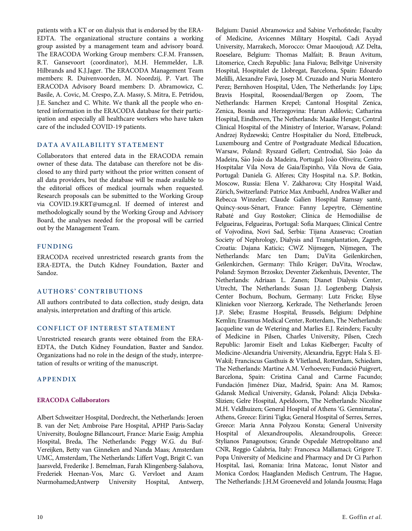patients with a KT or on dialysis that is endorsed by the ERA-EDTA. The organizational structure contains a working group assisted by a management team and advisory board. The ERACODA Working Group members: C.F.M. Franssen, R.T. Gansevoort (coordinator), M.H. Hemmelder, L.B. Hilbrands and K.J.Jager. The ERACODA Management Team members: R. Duivenvoorden, M. Noordzij, P. Vart. The ERACODA Advisory Board members: D. Abramowicz, C. Basile, A. Covic, M. Crespo, Z.A. Massy, S. Mitra, E. Petridou, J.E. Sanchez and C. White. We thank all the people who entered information in the ERACODA database for their participation and especially all healthcare workers who have taken care of the included COVID-19 patients.

# DATA AVAILABILITY STATEMENT

Collaborators that entered data in the ERACODA remain owner of these data. The database can therefore not be disclosed to any third party without the prior written consent of all data providers, but the database will be made available to the editorial offices of medical journals when requested. Research proposals can be submitted to the Working Group via COVID.19.KRT@umcg.nl. If deemed of interest and methodologically sound by the Working Group and Advisory Board, the analyses needed for the proposal will be carried out by the Management Team.

# FUNDING

ERACODA received unrestricted research grants from the ERA-EDTA, the Dutch Kidney Foundation, Baxter and Sandoz.

# AUTHORS' CONTRIBUTIONS

All authors contributed to data collection, study design, data analysis, interpretation and drafting of this article.

# CONFLICT OF INTEREST STATEMENT

Unrestricted research grants were obtained from the ERA-EDTA, the Dutch Kidney Foundation, Baxter and Sandoz. Organizations had no role in the design of the study, interpretation of results or writing of the manuscript.

# APPENDIX

# ERACODA Collaborators

Albert Schweitzer Hospital, Dordrecht, the Netherlands: Jeroen B. van der Net; Ambroise Pare Hospital, APHP Paris-Saclay University, Boulogne Billancourt, France: Marie Essig; Amphia Hospital, Breda, The Netherlands: Peggy W.G. du Buf-Vereijken, Betty van Ginneken and Nanda Maas; Amsterdam UMC, Amsterdam, The Netherlands: Liffert Vogt, Brigit C. van Jaarsveld, Frederike J. Bemelman, Farah Klingenberg-Salahova, Frederiek Heenan-Vos, Marc G. Vervloet and Azam Nurmohamed;Antwerp University Hospital, Antwerp,

Belgium: Daniel Abramowicz and Sabine Verhofstede; Faculty of Medicine, Avicennes Military Hospital, Cadi Ayyad University, Marrakech, Morocco: Omar Maoujoud; AZ Delta, Roeselare, Belgium: Thomas Malfait; B. Braun Avitum, Litomerice, Czech Republic: Jana Fialova; Bellvitge University Hospital, Hospitalet de Llobregat, Barcelona, Spain: Edoardo Melilli, Alexandre Fava`, Josep M. Cruzado and Nuria Montero Perez; Bernhoven Hospital, Uden, The Netherlands: Joy Lips; Bravis Hospital, Roosendaal/Bergen op Zoom, The Netherlands: Harmen Krepel; Cantonal Hospital Zenica, Zenica, Bosnia and Herzegovina: Harun Adilovic; Catharina Hospital, Eindhoven, The Netherlands: Maaike Hengst; Central Clinical Hospital of the Ministry of Interior, Warsaw, Poland: Andrzej Rydzewski; Centre Hospitalier du Nord, Ettelbruck, Luxembourg and Centre of Postgraduate Medical Education, Warsaw, Poland: Ryszard Gellert; Centrodial, São João da Madeira, São João da Madeira, Portugal: João Oliveira; Centro Hospitalar Vila Nova de Gaia/Espinho, Vila Nova de Gaia, Portugal: Daniela G. Alferes; City Hospital n.a. S.P. Botkin, Moscow, Russia: Elena V. Zakharova; City Hospital Waid, Zürich, Switzerland: Patrice Max Ambuehl, Andrea Walker and Rebecca Winzeler; Claude Galien Hospital Ramsay santé, Quincy-sous-Sénart, France: Fanny Lepeytre, Clémentine Rabaté and Guy Rostoker; Clínica de Hemodiálise de Felgueiras, Felgueiras, Portugal: Sofia Marques; Clinical Centre of Vojvodina, Novi Sad, Serbia: Tijana Azasevac; Croatian Society of Nephrology, Dialysis and Transplantation, Zagreb, Croatia: Dajana Katicic; CWZ Nijmegen, Nijmegen, The Netherlands: Marc ten Dam; DaVita Geilenkirchen, Geilenkirchen, Germany: Thilo Krüger; DaVita, Wrocław, Poland: Szymon Brzosko; Deventer Ziekenhuis, Deventer, The Netherlands: Adriaan L. Zanen; Dianet Dialysis Center, Utrecht, The Netherlands: Susan J.J. Logtenberg; Dialysis Center Bochum, Bochum, Germany: Lutz Fricke; Elyse Klinieken voor Nierzorg, Kerkrade, The Netherlands: Jeroen J.P. Slebe; Erasme Hospital, Brussels, Belgium: Delphine Kemlin; Erasmus Medical Center, Rotterdam, The Netherlands: Jacqueline van de Wetering and Marlies E.J. Reinders; Faculty of Medicine in Pilsen, Charles University, Pilsen, Czech Republic: Jaromir Eiselt and Lukas Kielberger; Faculty of Medicine-Alexandria University, Alexandria, Egypt: Hala S. El-Wakil; Franciscus Gasthuis & Vlietland, Rotterdam, Schiedam, The Netherlands: Martine A.M. Verhoeven; Fundació Puigvert, Barcelona, Spain: Cristina Canal and Carme Facundo; Fundación Jiménez Díaz, Madrid, Spain: Ana M. Ramos; Gdansk Medical University, Gdansk, Poland: Alicja Debska-Slizien; Gelre Hospital, Apeldoorn, The Netherlands: Nicoline M.H. Veldhuizen; General Hospital of Athens 'G. Gennimatas', Athens, Greece: Eirini Tigka; General Hospital of Serres, Serres, Greece: Maria Anna Polyzou Konsta; General University Hospital of Alexandroupolis, Alexandroupolis, Greece: Stylianos Panagoutsos; Grande Ospedale Metropolitano and CNR, Reggio Calabria, Italy: Francesca Mallamaci; Grigore T. Popa University of Medicine and Pharmacy and Dr Ci Parhon Hospital, Iasi, Romania: Irina Matceac, Ionut Nistor and Monica Cordos; Haaglanden Medisch Centrum, The Hague, The Netherlands: J.H.M Groeneveld and Jolanda Jousma; Haga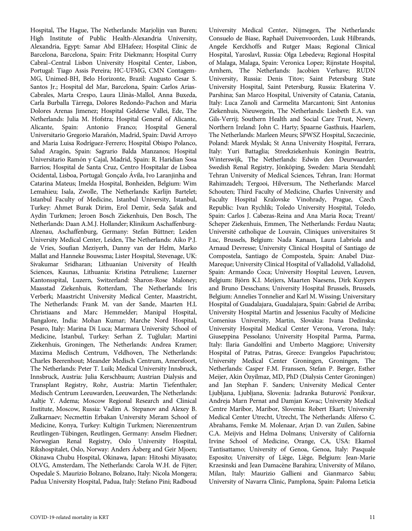Hospital, The Hague, The Netherlands: Marjolijn van Buren; High Institute of Public Health-Alexandria University, Alexandria, Egypt: Samar Abd ElHafeez; Hospital Clínic de Barcelona, Barcelona, Spain: Fritz Diekmann; Hospital Curry Cabral–Central Lisbon University Hospital Center, Lisbon, Portugal: Tiago Assis Pereira; HC-UFMG, CMN Contagem-MG, Unimed-BH, Belo Horizonte, Brazil: Augusto Cesar S. Santos Jr.; Hospital del Mar, Barcelona, Spain: Carlos Arias-Cabrales, Marta Crespo, Laura Llinàs-Mallol, Anna Buxeda, Carla Burballa Tàrrega, Dolores Redondo-Pachon and Maria Dolores Arenas Jimenez; Hospital Gelderse Vallei, Ede, The Netherlands: Julia M. Hofstra; Hospital General of Alicante, Alicante, Spain: Antonio Franco; Hospital General Universitario Gregorio Marañón, Madrid, Spain: David Arroyo and Maria Luisa Rodríguez-Ferrero; Hospital Obispo Polanco, Salud Aragón, Spain: Sagrario Balda Manzanos; Hospital Universitario Ramo´n y Cajal, Madrid, Spain: R. Haridian Sosa Barrios; Hospital de Santa Cruz, Centro Hospitalar de Lisboa Ocidental, Lisboa, Portugal: Gonçalo Ávila, Ivo Laranjinha and Catarina Mateus; Imelda Hospital, Bonheiden, Belgium: Wim Lemahieu; Isala, Zwolle, The Netherlands: Karlijn Bartelet; Istanbul Faculty of Medicine, Istanbul University, Istanbul, Turkey: Ahmet Burak Dirim, Erol Demir, Seda Şafak and Aydin Turkmen; Jeroen Bosch Ziekenhuis, Den Bosch, The Netherlands: Daan A.M.J. Hollander; Klinikum Aschaffenburg-Alzenau, Aschaffenburg, Germany: Stefan Büttner; Leiden University Medical Center, Leiden, The Netherlands: Aiko P.J. de Vries, Soufian Meziyerh, Danny van der Helm, Marko Mallat and Hanneke Bouwsma; Lister Hospital, Stevenage, UK: Sivakumar Sridharan; Lithuanian University of Health Sciences, Kaunas, Lithuania: Kristina Petruliene; Luzerner Kantonsspital, Luzern, Switzerland: Sharon-Rose Maloney; Maasstad Ziekenhuis, Rotterdam, The Netherlands: Iris Verberk; Maastricht University Medical Center, Maastricht, The Netherlands: Frank M. van der Sande, Maarten H.L Christiaans and Marc Hemmelder; Manipal Hospital, Bangalore, India: Mohan Kumar; Marche Nord Hospital, Pesaro, Italy: Marina Di Luca; Marmara University School of Medicine, Istanbul, Turkey: Serhan Z. Tuğlular; Martini Ziekenhuis, Groningen, The Netherlands: Andrea Kramer; Maxima Medisch Centrum, Veldhoven, The Netherlands: Charles Beerenhout; Meander Medisch Centrum, Amersfoort, The Netherlands: Peter T. Luik; Medical University Innsbruck, Innsbruck, Austria: Julia Kerschbaum; Austrian Dialysis and Transplant Registry, Rohr, Austria: Martin Tiefenthaler; Medisch Centrum Leeuwarden, Leeuwarden, The Netherlands: Aaltje Y. Adema; Moscow Regional Research and Clinical Institute, Moscow, Russia: Vadim A. Stepanov and Alexey B. Zulkarnaev; Necmettin Erbakan University Meram School of Medicine, Konya, Turkey: Kultigin Turkmen; Nierenzentrum Reutlingen-Tübingen, Reutlingen, Germany: Anselm Fliedner; Norwegian Renal Registry, Oslo University Hospital, Rikshospitalet, Oslo, Norway: Anders Asberg and Geir Mjoen; Okinawa Chubu Hospital, Okinawa, Japan: Hitoshi Miyasato; OLVG, Amsterdam, The Netherlands: Carola W.H. de Fijter; Ospedale S. Maurizio Bolzano, Bolzano, Italy: Nicola Mongera; Padua University Hospital, Padua, Italy: Stefano Pini; Radboud University Medical Center, Nijmegen, The Netherlands: Consuelo de Biase, Raphaël Duivenvoorden, Luuk Hilbrands, Angele Kerckhoffs and Rutger Maas; Regional Clinical Hospital, Yaroslavl, Russia: Olga Lebedeva; Regional Hospital of Malaga, Malaga, Spain: Veronica Lopez; Rijnstate Hospital, Arnhem, The Netherlands: Jacobien Verhave; RUDN University, Russia: Denis Titov; Saint Petersburg State University Hospital, Saint Petersburg, Russia: Ekaterina V. Parshina; San Marco Hospital, University of Catania, Catania, Italy: Luca Zanoli and Carmelita Marcantoni; Sint Antonius Ziekenhuis, Nieuwegein, The Netherlands: Liesbeth E.A. van Gils-Verrij; Southern Health and Social Care Trust, Newry, Northern Ireland: John C. Harty; Spaarne Gasthuis, Haarlem, The Netherlands: Marleen Meurs; SPWSZ Hospital, Szczecinie, Poland: Marek Myslak; St Anna University Hospital, Ferrara, Italy: Yuri Battaglia; Streekziekenhuis Koningin Beatrix, Winterswijk, The Netherlands: Edwin den Deurwaarder; Swedish Renal Registry, Jönköping, Sweden: Maria Stendahl; Tehran University of Medical Sciences, Tehran, Iran: Hormat Rahimzadeh; Tergooi, Hilversum, The Netherlands: Marcel Schouten; Third Faculty of Medicine, Charles University and Faculty Hospital Kralovske Vinohrady, Prague, Czech Republic: Ivan Rychlik; Toledo University Hospital, Toledo, Spain: Carlos J. Cabezas-Reina and Ana Maria Roca; Treant/ Scheper Ziekenhuis, Emmen, The Netherlands: Ferdau Nauta; Université catholique de Louvain, Cliniques universitaires St Luc, Brussels, Belgium: Nada Kanaan, Laura Labriola and Arnaud Devresse; University Clinical Hospital of Santiago de Compostela, Santiago de Compostela, Spain: Anabel Diaz-Mareque; University Clinical Hospital of Valladolid, Valladolid, Spain: Armando Coca; University Hospital Leuven, Leuven, Belgium: Björn K.I. Meijers, Maarten Naesens, Dirk Kuypers and Bruno Desschans; University Hospital Brussels, Brussels, Belgium: Annelies Tonnelier and Karl M. Wissing; Universitary Hospital of Guadalajara, Guadalajara, Spain: Gabriel de Arriba; University Hospital Martin and Jessenius Faculty of Medicine Comenius University, Martin, Slovakia: Ivana Dedinska; University Hospital Medical Center Verona, Verona, Italy: Giuseppina Pessolano; University Hospital Parma, Parma, Italy: Ilaria Gandolfini and Umberto Maggiore; University Hospital of Patras, Patras, Greece: Evangelos Papachristou; University Medical Center Groningen, Groningen, The Netherlands: Casper F.M. Franssen, Stefan P. Berger, Esther Meijer, Akin Özyilmaz, MD, PhD (Dialysis Center Groningen) and Jan Stephan F. Sanders; University Medical Center Ljubljana, Ljubljana, Slovenia: Jadranka Buturovic Ponikvar, Andreja Marn Pernat and Damjan Kovac; University Medical Centre Maribor, Maribor, Slovenia: Robert Ekart; University Medical Center Utrecht, Utrecht, The Netherlands: Alferso C. Abrahams, Femke M. Molenaar, Arjan D. van Zuilen, Sabine C.A. Meijvis and Helma Dolmans; University of California Irvine School of Medicine, Orange, CA, USA: Ekamol Tantisattamo; University of Genoa, Genoa, Italy: Pasquale Esposito; University of Liège, Liège, Belgium: Jean-Marie Krzesinski and Jean Damacène Barahira; University of Milano, Milan, Italy: Maurizio Gallieni and Gianmarco Sabiu; University of Navarra Clinic, Pamplona, Spain: Paloma Leticia